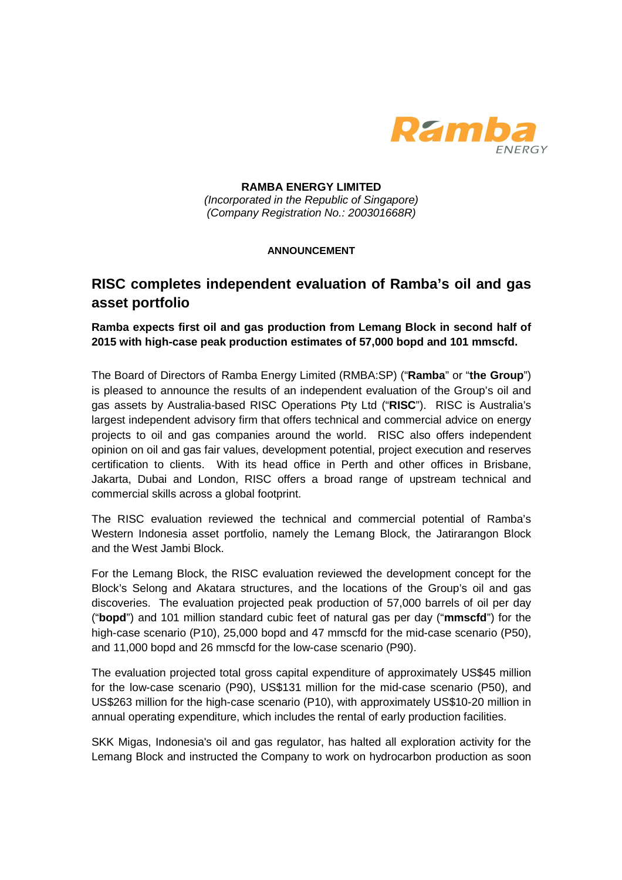

**RAMBA ENERGY LIMITED**  (Incorporated in the Republic of Singapore) (Company Registration No.: 200301668R)

## **ANNOUNCEMENT**

## **RISC completes independent evaluation of Ramba's oil and gas asset portfolio**

**Ramba expects first oil and gas production from Lemang Block in second half of 2015 with high-case peak production estimates of 57,000 bopd and 101 mmscfd.** 

The Board of Directors of Ramba Energy Limited (RMBA:SP) ("**Ramba**" or "**the Group**") is pleased to announce the results of an independent evaluation of the Group's oil and gas assets by Australia-based RISC Operations Pty Ltd ("**RISC**"). RISC is Australia's largest independent advisory firm that offers technical and commercial advice on energy projects to oil and gas companies around the world. RISC also offers independent opinion on oil and gas fair values, development potential, project execution and reserves certification to clients. With its head office in Perth and other offices in Brisbane, Jakarta, Dubai and London, RISC offers a broad range of upstream technical and commercial skills across a global footprint.

The RISC evaluation reviewed the technical and commercial potential of Ramba's Western Indonesia asset portfolio, namely the Lemang Block, the Jatirarangon Block and the West Jambi Block.

For the Lemang Block, the RISC evaluation reviewed the development concept for the Block's Selong and Akatara structures, and the locations of the Group's oil and gas discoveries. The evaluation projected peak production of 57,000 barrels of oil per day ("**bopd**") and 101 million standard cubic feet of natural gas per day ("**mmscfd**") for the high-case scenario (P10), 25,000 bopd and 47 mmscfd for the mid-case scenario (P50), and 11,000 bopd and 26 mmscfd for the low-case scenario (P90).

The evaluation projected total gross capital expenditure of approximately US\$45 million for the low-case scenario (P90), US\$131 million for the mid-case scenario (P50), and US\$263 million for the high-case scenario (P10), with approximately US\$10-20 million in annual operating expenditure, which includes the rental of early production facilities.

SKK Migas, Indonesia's oil and gas regulator, has halted all exploration activity for the Lemang Block and instructed the Company to work on hydrocarbon production as soon